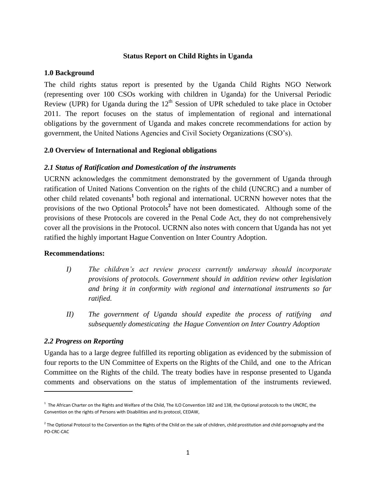#### **Status Report on Child Rights in Uganda**

#### **1.0 Background**

The child rights status report is presented by the Uganda Child Rights NGO Network (representing over 100 CSOs working with children in Uganda) for the Universal Periodic Review (UPR) for Uganda during the  $12<sup>th</sup>$  Session of UPR scheduled to take place in October 2011. The report focuses on the status of implementation of regional and international obligations by the government of Uganda and makes concrete recommendations for action by government, the United Nations Agencies and Civil Society Organizations (CSO's).

### **2.0 Overview of International and Regional obligations**

### *2.1 Status of Ratification and Domestication of the instruments*

UCRNN acknowledges the commitment demonstrated by the government of Uganda through ratification of United Nations Convention on the rights of the child (UNCRC) and a number of other child related covenants**<sup>1</sup>** both regional and international. UCRNN however notes that the provisions of the two Optional Protocols**<sup>2</sup>** have not been domesticated. Although some of the provisions of these Protocols are covered in the Penal Code Act, they do not comprehensively cover all the provisions in the Protocol. UCRNN also notes with concern that Uganda has not yet ratified the highly important Hague Convention on Inter Country Adoption.

#### **Recommendations:**

- *I) The children's act review process currently underway should incorporate provisions of protocols. Government should in addition review other legislation and bring it in conformity with regional and international instruments so far ratified.*
- *II) The government of Uganda should expedite the process of ratifying and subsequently domesticating the Hague Convention on Inter Country Adoption*

#### *2.2 Progress on Reporting*

 $\overline{\phantom{a}}$ 

Uganda has to a large degree fulfilled its reporting obligation as evidenced by the submission of four reports to the UN Committee of Experts on the Rights of the Child, and one to the African Committee on the Rights of the child. The treaty bodies have in response presented to Uganda comments and observations on the status of implementation of the instruments reviewed.

<sup>&</sup>lt;sup>1</sup> The African Charter on the Rights and Welfare of the Child, The ILO Convention 182 and 138, the Optional protocols to the UNCRC, the Convention on the rights of Persons with Disabilities and its protocol, CEDAW,

 $^2$  The Optional Protocol to the Convention on the Rights of the Child on the sale of children, child prostitution and child pornography and the PO-CRC-CAC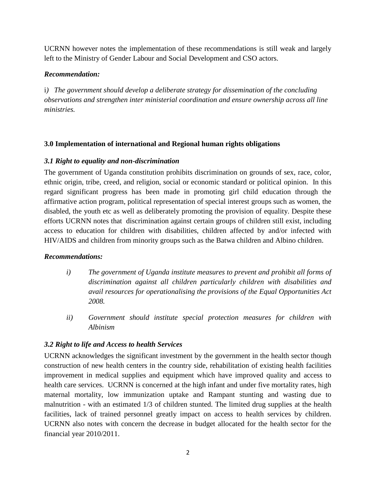UCRNN however notes the implementation of these recommendations is still weak and largely left to the Ministry of Gender Labour and Social Development and CSO actors.

# *Recommendation:*

i*) The government should develop a deliberate strategy for dissemination of the concluding observations and strengthen inter ministerial coordination and ensure ownership across all line ministries.* 

# **3.0 Implementation of international and Regional human rights obligations**

# *3.1 Right to equality and non-discrimination*

The government of Uganda constitution prohibits discrimination on grounds of sex, race, color, ethnic origin, tribe, creed, and religion, social or economic standard or political opinion. In this regard significant progress has been made in promoting girl child education through the affirmative action program, political representation of special interest groups such as women, the disabled, the youth etc as well as deliberately promoting the provision of equality. Despite these efforts UCRNN notes that discrimination against certain groups of children still exist, including access to education for children with disabilities, children affected by and/or infected with HIV/AIDS and children from minority groups such as the Batwa children and Albino children.

### *Recommendations:*

- *i) The government of Uganda institute measures to prevent and prohibit all forms of discrimination against all children particularly children with disabilities and avail resources for operationalising the provisions of the Equal Opportunities Act 2008.*
- *ii) Government should institute special protection measures for children with Albinism*

# *3.2 Right to life and Access to health Services*

UCRNN acknowledges the significant investment by the government in the health sector though construction of new health centers in the country side, rehabilitation of existing health facilities improvement in medical supplies and equipment which have improved quality and access to health care services. UCRNN is concerned at the high infant and under five mortality rates, high maternal mortality, low immunization uptake and Rampant stunting and wasting due to malnutrition - with an estimated 1/3 of children stunted. The limited drug supplies at the health facilities, lack of trained personnel greatly impact on access to health services by children. UCRNN also notes with concern the decrease in budget allocated for the health sector for the financial year 2010/2011.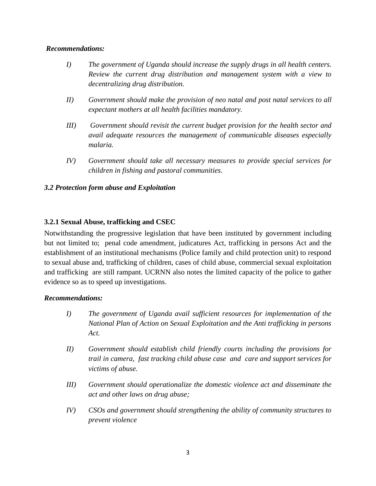#### *Recommendations:*

- *I) The government of Uganda should increase the supply drugs in all health centers. Review the current drug distribution and management system with a view to decentralizing drug distribution.*
- *II) Government should make the provision of neo natal and post natal services to all expectant mothers at all health facilities mandatory.*
- *III) Government should revisit the current budget provision for the health sector and avail adequate resources the management of communicable diseases especially malaria.*
- *IV) Government should take all necessary measures to provide special services for children in fishing and pastoral communities.*

### *3.2 Protection form abuse and Exploitation*

# **3.2.1 Sexual Abuse, trafficking and CSEC**

Notwithstanding the progressive legislation that have been instituted by government including but not limited to; penal code amendment, judicatures Act, trafficking in persons Act and the establishment of an institutional mechanisms (Police family and child protection unit) to respond to sexual abuse and, trafficking of children, cases of child abuse, commercial sexual exploitation and trafficking are still rampant. UCRNN also notes the limited capacity of the police to gather evidence so as to speed up investigations.

### *Recommendations:*

- *I) The government of Uganda avail sufficient resources for implementation of the National Plan of Action on Sexual Exploitation and the Anti trafficking in persons Act.*
- *II) Government should establish child friendly courts including the provisions for trail in camera, fast tracking child abuse case and care and support services for victims of abuse.*
- *III) Government should operationalize the domestic violence act and disseminate the act and other laws on drug abuse;*
- *IV) CSOs and government should strengthening the ability of community structures to prevent violence*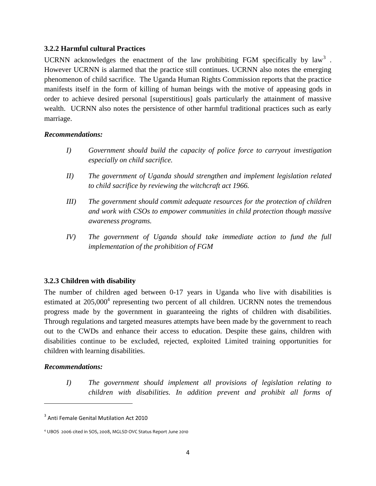### **3.2.2 Harmful cultural Practices**

UCRNN acknowledges the enactment of the law prohibiting FGM specifically by law<sup>3</sup>. However UCRNN is alarmed that the practice still continues. UCRNN also notes the emerging phenomenon of child sacrifice. The Uganda Human Rights Commission reports that the practice manifests itself in the form of killing of human beings with the motive of appeasing gods in order to achieve desired personal [superstitious] goals particularly the attainment of massive wealth. UCRNN also notes the persistence of other harmful traditional practices such as early marriage.

#### *Recommendations:*

- *I) Government should build the capacity of police force to carryout investigation especially on child sacrifice.*
- *II) The government of Uganda should strengthen and implement legislation related to child sacrifice by reviewing the witchcraft act 1966.*
- *III) The government should commit adequate resources for the protection of children and work with CSOs to empower communities in child protection though massive awareness programs.*
- *IV) The government of Uganda should take immediate action to fund the full implementation of the prohibition of FGM*

### **3.2.3 Children with disability**

The number of children aged between 0-17 years in Uganda who live with disabilities is estimated at  $205,000^4$  representing two percent of all children. UCRNN notes the tremendous progress made by the government in guaranteeing the rights of children with disabilities. Through regulations and targeted measures attempts have been made by the government to reach out to the CWDs and enhance their access to education. Despite these gains, children with disabilities continue to be excluded, rejected, exploited Limited training opportunities for children with learning disabilities.

#### *Recommendations:*

 $\overline{\phantom{a}}$ 

*I) The government should implement all provisions of legislation relating to children with disabilities. In addition prevent and prohibit all forms of* 

<sup>&</sup>lt;sup>3</sup> Anti Female Genital Mutilation Act 2010

<sup>4</sup> UBOS 2006 cited in SOS, 2008, MGLSD OVC Status Report June 2010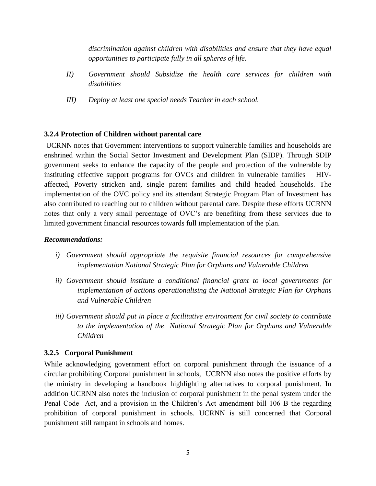*discrimination against children with disabilities and ensure that they have equal opportunities to participate fully in all spheres of life.* 

- *II) Government should Subsidize the health care services for children with disabilities*
- *III) Deploy at least one special needs Teacher in each school.*

### **3.2.4 Protection of Children without parental care**

UCRNN notes that Government interventions to support vulnerable families and households are enshrined within the Social Sector Investment and Development Plan (SIDP). Through SDIP government seeks to enhance the capacity of the people and protection of the vulnerable by instituting effective support programs for OVCs and children in vulnerable families – HIVaffected, Poverty stricken and, single parent families and child headed households. The implementation of the OVC policy and its attendant Strategic Program Plan of Investment has also contributed to reaching out to children without parental care. Despite these efforts UCRNN notes that only a very small percentage of OVC's are benefiting from these services due to limited government financial resources towards full implementation of the plan.

#### *Recommendations:*

- *i*) *Government should appropriate the requisite financial resources for comprehensive implementation National Strategic Plan for Orphans and Vulnerable Children*
- *ii) Government should institute a conditional financial grant to local governments for implementation of actions operationalising the National Strategic Plan for Orphans and Vulnerable Children*
- *iii) Government should put in place a facilitative environment for civil society to contribute to the implementation of the National Strategic Plan for Orphans and Vulnerable Children*

### **3.2.5 Corporal Punishment**

While acknowledging government effort on corporal punishment through the issuance of a circular prohibiting Corporal punishment in schools, UCRNN also notes the positive efforts by the ministry in developing a handbook highlighting alternatives to corporal punishment. In addition UCRNN also notes the inclusion of corporal punishment in the penal system under the Penal Code Act, and a provision in the Children's Act amendment bill 106 B the regarding prohibition of corporal punishment in schools. UCRNN is still concerned that Corporal punishment still rampant in schools and homes.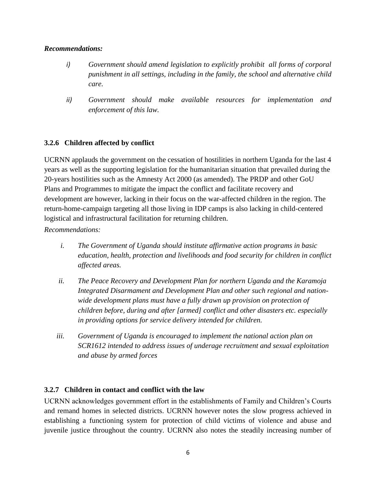### *Recommendations:*

- *i) Government should amend legislation to explicitly prohibit all forms of corporal punishment in all settings, including in the family, the school and alternative child care.*
- *ii) Government should make available resources for implementation and enforcement of this law.*

# **3.2.6 Children affected by conflict**

UCRNN applauds the government on the cessation of hostilities in northern Uganda for the last 4 years as well as the supporting legislation for the humanitarian situation that prevailed during the 20-years hostilities such as the Amnesty Act 2000 (as amended). The PRDP and other GoU Plans and Programmes to mitigate the impact the conflict and facilitate recovery and development are however, lacking in their focus on the war-affected children in the region. The return-home-campaign targeting all those living in IDP camps is also lacking in child-centered logistical and infrastructural facilitation for returning children.

### *Recommendations:*

- *i. The Government of Uganda should institute affirmative action programs in basic education, health, protection and livelihoods and food security for children in conflict affected areas.*
- *ii. The Peace Recovery and Development Plan for northern Uganda and the Karamoja Integrated Disarmament and Development Plan and other such regional and nationwide development plans must have a fully drawn up provision on protection of children before, during and after [armed] conflict and other disasters etc. especially in providing options for service delivery intended for children.*
- *iii. Government of Uganda is encouraged to implement the national action plan on SCR1612 intended to address issues of underage recruitment and sexual exploitation and abuse by armed forces*

### **3.2.7 Children in contact and conflict with the law**

UCRNN acknowledges government effort in the establishments of Family and Children's Courts and remand homes in selected districts. UCRNN however notes the slow progress achieved in establishing a functioning system for protection of child victims of violence and abuse and juvenile justice throughout the country. UCRNN also notes the steadily increasing number of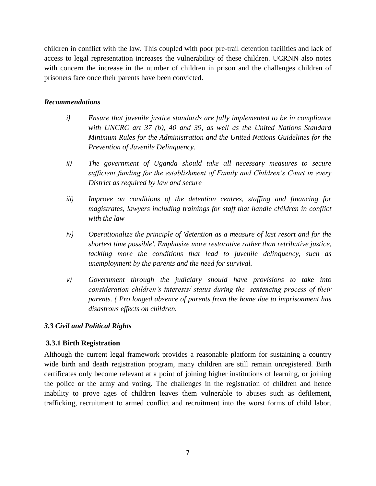children in conflict with the law. This coupled with poor pre-trail detention facilities and lack of access to legal representation increases the vulnerability of these children. UCRNN also notes with concern the increase in the number of children in prison and the challenges children of prisoners face once their parents have been convicted.

### *Recommendations*

- *i) Ensure that juvenile justice standards are fully implemented to be in compliance with UNCRC art 37 (b), 40 and 39, as well as the United Nations Standard Minimum Rules for the Administration and the United Nations Guidelines for the Prevention of Juvenile Delinquency.*
- *ii) The government of Uganda should take all necessary measures to secure sufficient funding for the establishment of Family and Children's Court in every District as required by law and secure*
- *iii) Improve on conditions of the detention centres, staffing and financing for magistrates, lawyers including trainings for staff that handle children in conflict with the law*
- *iv) Operationalize the principle of 'detention as a measure of last resort and for the shortest time possible'. Emphasize more restorative rather than retributive justice, tackling more the conditions that lead to juvenile delinquency, such as unemployment by the parents and the need for survival.*
- *v) Government through the judiciary should have provisions to take into consideration children's interests/ status during the sentencing process of their parents. ( Pro longed absence of parents from the home due to imprisonment has disastrous effects on children.*

### *3.3 Civil and Political Rights*

### **3.3.1 Birth Registration**

Although the current legal framework provides a reasonable platform for sustaining a country wide birth and death registration program, many children are still remain unregistered. Birth certificates only become relevant at a point of joining higher institutions of learning, or joining the police or the army and voting. The challenges in the registration of children and hence inability to prove ages of children leaves them vulnerable to abuses such as defilement, trafficking, recruitment to armed conflict and recruitment into the worst forms of child labor.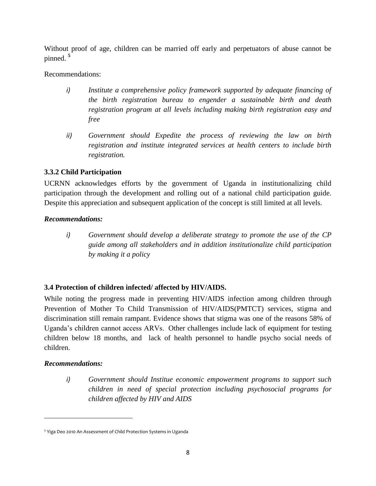Without proof of age, children can be married off early and perpetuators of abuse cannot be pinned. **<sup>5</sup>**

Recommendations:

- *i) Institute a comprehensive policy framework supported by adequate financing of the birth registration bureau to engender a sustainable birth and death registration program at all levels including making birth registration easy and free*
- *ii) Government should Expedite the process of reviewing the law on birth registration and institute integrated services at health centers to include birth registration.*

# **3.3.2 Child Participation**

UCRNN acknowledges efforts by the government of Uganda in institutionalizing child participation through the development and rolling out of a national child participation guide. Despite this appreciation and subsequent application of the concept is still limited at all levels.

# *Recommendations:*

*i) Government should develop a deliberate strategy to promote the use of the CP guide among all stakeholders and in addition institutionalize child participation by making it a policy* 

# **3.4 Protection of children infected/ affected by HIV/AIDS.**

While noting the progress made in preventing HIV/AIDS infection among children through Prevention of Mother To Child Transmission of HIV/AIDS(PMTCT) services, stigma and discrimination still remain rampant. Evidence shows that stigma was one of the reasons 58% of Uganda's children cannot access ARVs. Other challenges include lack of equipment for testing children below 18 months, and lack of health personnel to handle psycho social needs of children.

# *Recommendations:*

 $\overline{a}$ 

*i) Government should Institue economic empowerment programs to support such children in need of special protection including psychosocial programs for children affected by HIV and AIDS*

<sup>&</sup>lt;sup>5</sup> Yiga Deo 2010 An Assessment of Child Protection Systems in Uganda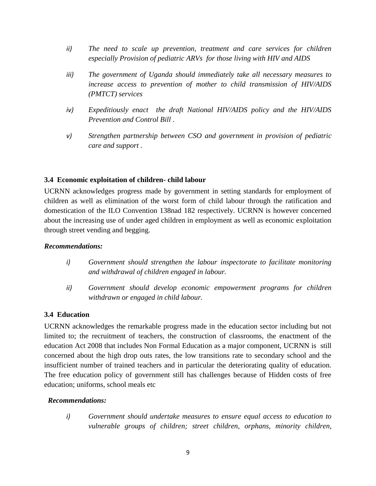- *ii) The need to scale up prevention, treatment and care services for children especially Provision of pediatric ARVs for those living with HIV and AIDS*
- *iii) The government of Uganda should immediately take all necessary measures to increase access to prevention of mother to child transmission of HIV/AIDS (PMTCT) services*
- *iv) Expeditiously enact the draft National HIV/AIDS policy and the HIV/AIDS Prevention and Control Bill .*
- *v) Strengthen partnership between CSO and government in provision of pediatric care and support .*

### **3.4 Economic exploitation of children- child labour**

UCRNN acknowledges progress made by government in setting standards for employment of children as well as elimination of the worst form of child labour through the ratification and domestication of the ILO Convention 138nad 182 respectively. UCRNN is however concerned about the increasing use of under aged children in employment as well as economic exploitation through street vending and begging.

#### *Recommendations:*

- *i) Government should strengthen the labour inspectorate to facilitate monitoring and withdrawal of children engaged in labour.*
- *ii) Government should develop economic empowerment programs for children withdrawn or engaged in child labour.*

### **3.4 Education**

UCRNN acknowledges the remarkable progress made in the education sector including but not limited to; the recruitment of teachers, the construction of classrooms, the enactment of the education Act 2008 that includes Non Formal Education as a major component, UCRNN is still concerned about the high drop outs rates, the low transitions rate to secondary school and the insufficient number of trained teachers and in particular the deteriorating quality of education. The free education policy of government still has challenges because of Hidden costs of free education; uniforms, school meals etc

#### *Recommendations:*

*i) Government should undertake measures to ensure equal access to education to vulnerable groups of children; street children, orphans, minority children,*